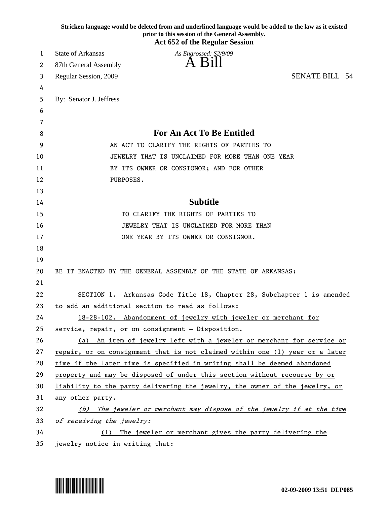|    | Stricken language would be deleted from and underlined language would be added to the law as it existed<br>prior to this session of the General Assembly.<br><b>Act 652 of the Regular Session</b> |
|----|----------------------------------------------------------------------------------------------------------------------------------------------------------------------------------------------------|
| 1  | <b>State of Arkansas</b><br>As Engrossed: S2/9/09                                                                                                                                                  |
| 2  | A Bill<br>87th General Assembly                                                                                                                                                                    |
| 3  | <b>SENATE BILL 54</b><br>Regular Session, 2009                                                                                                                                                     |
| 4  |                                                                                                                                                                                                    |
| 5  | By: Senator J. Jeffress                                                                                                                                                                            |
| 6  |                                                                                                                                                                                                    |
| 7  |                                                                                                                                                                                                    |
| 8  | <b>For An Act To Be Entitled</b>                                                                                                                                                                   |
| 9  | AN ACT TO CLARIFY THE RIGHTS OF PARTIES TO                                                                                                                                                         |
| 10 | JEWELRY THAT IS UNCLAIMED FOR MORE THAN ONE YEAR                                                                                                                                                   |
| 11 | BY ITS OWNER OR CONSIGNOR; AND FOR OTHER                                                                                                                                                           |
| 12 | PURPOSES.                                                                                                                                                                                          |
| 13 |                                                                                                                                                                                                    |
| 14 | <b>Subtitle</b>                                                                                                                                                                                    |
| 15 | TO CLARIFY THE RIGHTS OF PARTIES TO                                                                                                                                                                |
| 16 | JEWELRY THAT IS UNCLAIMED FOR MORE THAN                                                                                                                                                            |
| 17 | ONE YEAR BY ITS OWNER OR CONSIGNOR.                                                                                                                                                                |
| 18 |                                                                                                                                                                                                    |
| 19 |                                                                                                                                                                                                    |
| 20 | BE IT ENACTED BY THE GENERAL ASSEMBLY OF THE STATE OF ARKANSAS:                                                                                                                                    |
| 21 |                                                                                                                                                                                                    |
| 22 | SECTION 1. Arkansas Code Title 18, Chapter 28, Subchapter 1 is amended                                                                                                                             |
| 23 | to add an additional section to read as follows:                                                                                                                                                   |
| 24 | 18-28-102. Abandonment of jewelry with jeweler or merchant for                                                                                                                                     |
| 25 | service, repair, or on consignment - Disposition.                                                                                                                                                  |
| 26 | (a) An item of jewelry left with a jeweler or merchant for service or                                                                                                                              |
| 27 | repair, or on consignment that is not claimed within one (1) year or a later                                                                                                                       |
| 28 | time if the later time is specified in writing shall be deemed abandoned                                                                                                                           |
| 29 | property and may be disposed of under this section without recourse by or                                                                                                                          |
| 30 | liability to the party delivering the jewelry, the owner of the jewelry, or                                                                                                                        |
| 31 | any other party.                                                                                                                                                                                   |
| 32 | The jeweler or merchant may dispose of the jewelry if at the time<br>(b)                                                                                                                           |
| 33 | of receiving the jewelry:                                                                                                                                                                          |
| 34 | The jeweler or merchant gives the party delivering the<br>(1)                                                                                                                                      |
| 35 | jewelry notice in writing that:                                                                                                                                                                    |

\*DLP085\* **02-09-2009 13:51 DLP085**